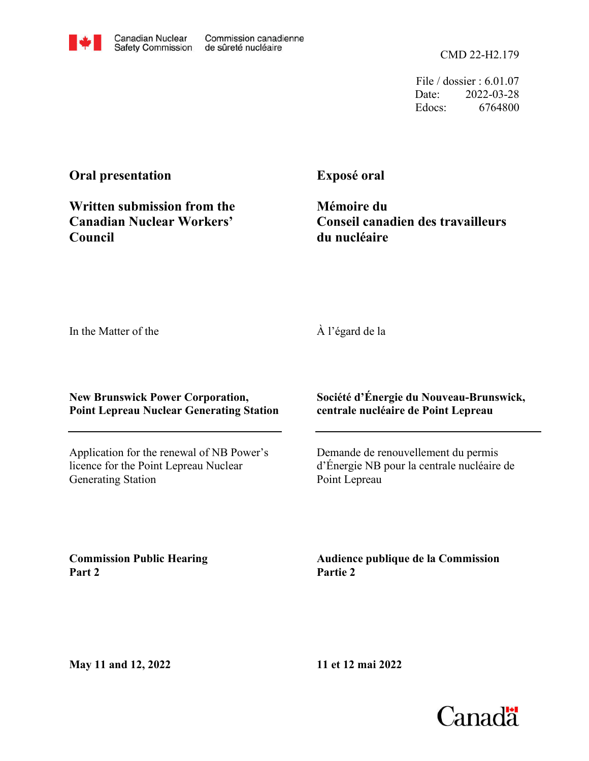File / dossier : 6.01.07 Date: 2022-03-28 Edocs: 6764800

# **Oral presentation**

**Council**

**Exposé oral**

**Mémoire du Conseil canadien des travailleurs du nucléaire**

In the Matter of the

À l'égard de la

**New Brunswick Power Corporation, Point Lepreau Nuclear Generating Station**

Application for the renewal of NB Power's licence for the Point Lepreau Nuclear Generating Station

**Société d'Énergie du Nouveau-Brunswick, centrale nucléaire de Point Lepreau**

Demande de renouvellement du permis d'Énergie NB pour la centrale nucléaire de Point Lepreau

**Commission Public Hearing Part 2**

**Audience publique de la Commission Partie 2**

**11 et 12 mai 2022**

**May 11 and 12, 2022**





**Written submission from the Canadian Nuclear Workers'**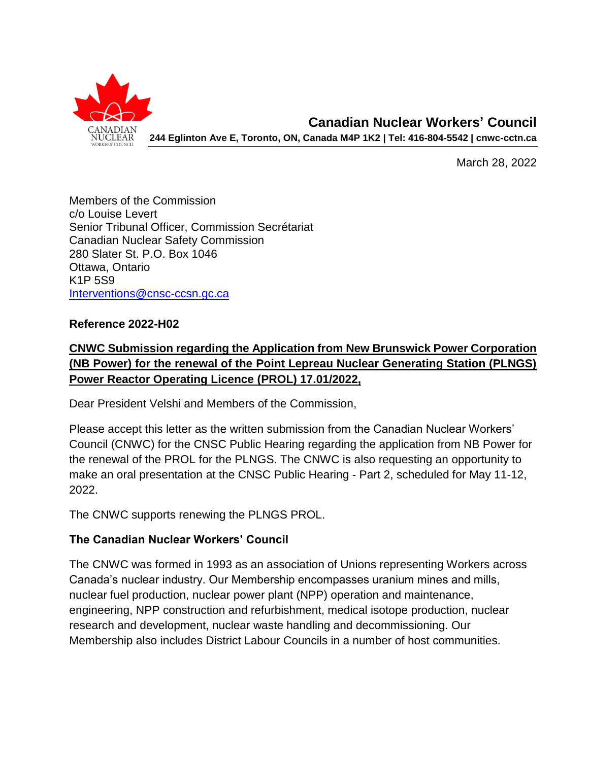

March 28, 2022

Members of the Commission c/o Louise Levert Senior Tribunal Officer, Commission Secrétariat Canadian Nuclear Safety Commission 280 Slater St. P.O. Box 1046 Ottawa, Ontario K1P 5S9 [Interventions@cnsc-ccsn.gc.ca](mailto:Interventions@cnsc-ccsn.gc.ca)

#### **Reference 2022-H02**

## **CNWC Submission regarding the Application from New Brunswick Power Corporation (NB Power) for the renewal of the Point Lepreau Nuclear Generating Station (PLNGS) Power Reactor Operating Licence (PROL) 17.01/2022,**

Dear President Velshi and Members of the Commission,

Please accept this letter as the written submission from the Canadian Nuclear Workers' Council (CNWC) for the CNSC Public Hearing regarding the application from NB Power for the renewal of the PROL for the PLNGS. The CNWC is also requesting an opportunity to make an oral presentation at the CNSC Public Hearing - Part 2, scheduled for May 11-12, 2022.

The CNWC supports renewing the PLNGS PROL.

#### **The Canadian Nuclear Workers' Council**

The CNWC was formed in 1993 as an association of Unions representing Workers across Canada's nuclear industry. Our Membership encompasses uranium mines and mills, nuclear fuel production, nuclear power plant (NPP) operation and maintenance, engineering, NPP construction and refurbishment, medical isotope production, nuclear research and development, nuclear waste handling and decommissioning. Our Membership also includes District Labour Councils in a number of host communities.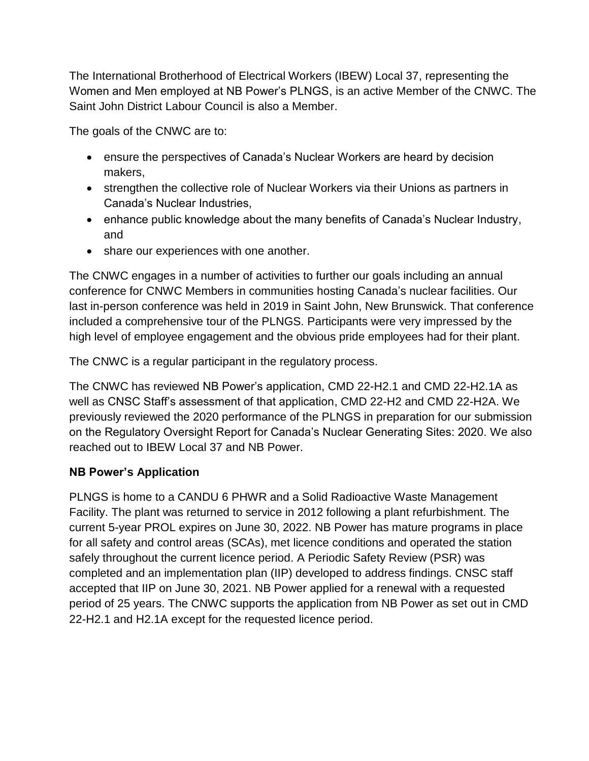The International Brotherhood of Electrical Workers (IBEW) Local 37, representing the Women and Men employed at NB Power's PLNGS, is an active Member of the CNWC. The Saint John District Labour Council is also a Member.

The goals of the CNWC are to:

- ensure the perspectives of Canada's Nuclear Workers are heard by decision makers,
- strengthen the collective role of Nuclear Workers via their Unions as partners in Canada's Nuclear Industries,
- enhance public knowledge about the many benefits of Canada's Nuclear Industry, and
- share our experiences with one another.

The CNWC engages in a number of activities to further our goals including an annual conference for CNWC Members in communities hosting Canada's nuclear facilities. Our last in-person conference was held in 2019 in Saint John, New Brunswick. That conference included a comprehensive tour of the PLNGS. Participants were very impressed by the high level of employee engagement and the obvious pride employees had for their plant.

The CNWC is a regular participant in the regulatory process.

The CNWC has reviewed NB Power's application, CMD 22-H2.1 and CMD 22-H2.1A as well as CNSC Staff's assessment of that application, CMD 22-H2 and CMD 22-H2A. We previously reviewed the 2020 performance of the PLNGS in preparation for our submission on the Regulatory Oversight Report for Canada's Nuclear Generating Sites: 2020. We also reached out to IBEW Local 37 and NB Power.

### **NB Power's Application**

PLNGS is home to a CANDU 6 PHWR and a Solid Radioactive Waste Management Facility. The plant was returned to service in 2012 following a plant refurbishment. The current 5-year PROL expires on June 30, 2022. NB Power has mature programs in place for all safety and control areas (SCAs), met licence conditions and operated the station safely throughout the current licence period. A Periodic Safety Review (PSR) was completed and an implementation plan (IIP) developed to address findings. CNSC staff accepted that IIP on June 30, 2021. NB Power applied for a renewal with a requested period of 25 years. The CNWC supports the application from NB Power as set out in CMD 22-H2.1 and H2.1A except for the requested licence period.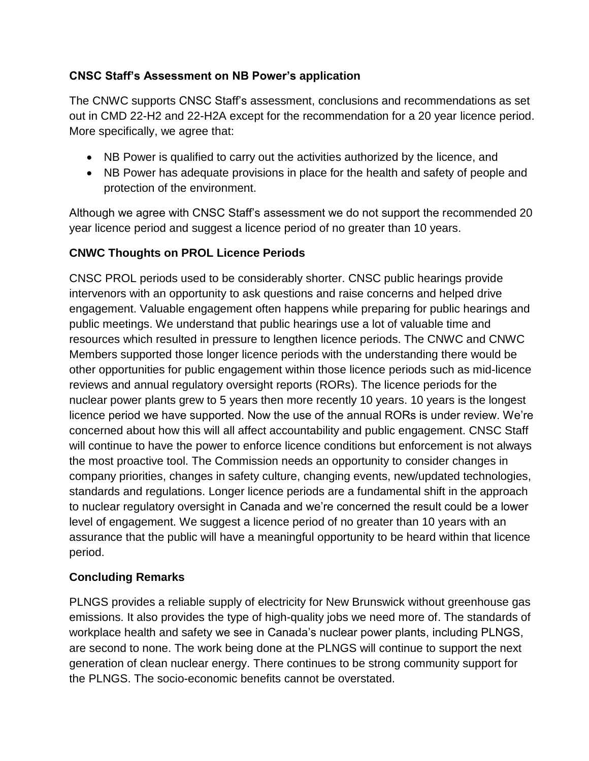### **CNSC Staff's Assessment on NB Power's application**

The CNWC supports CNSC Staff's assessment, conclusions and recommendations as set out in CMD 22-H2 and 22-H2A except for the recommendation for a 20 year licence period. More specifically, we agree that:

- NB Power is qualified to carry out the activities authorized by the licence, and
- NB Power has adequate provisions in place for the health and safety of people and protection of the environment.

Although we agree with CNSC Staff's assessment we do not support the recommended 20 year licence period and suggest a licence period of no greater than 10 years.

### **CNWC Thoughts on PROL Licence Periods**

CNSC PROL periods used to be considerably shorter. CNSC public hearings provide intervenors with an opportunity to ask questions and raise concerns and helped drive engagement. Valuable engagement often happens while preparing for public hearings and public meetings. We understand that public hearings use a lot of valuable time and resources which resulted in pressure to lengthen licence periods. The CNWC and CNWC Members supported those longer licence periods with the understanding there would be other opportunities for public engagement within those licence periods such as mid-licence reviews and annual regulatory oversight reports (RORs). The licence periods for the nuclear power plants grew to 5 years then more recently 10 years. 10 years is the longest licence period we have supported. Now the use of the annual RORs is under review. We're concerned about how this will all affect accountability and public engagement. CNSC Staff will continue to have the power to enforce licence conditions but enforcement is not always the most proactive tool. The Commission needs an opportunity to consider changes in company priorities, changes in safety culture, changing events, new/updated technologies, standards and regulations. Longer licence periods are a fundamental shift in the approach to nuclear regulatory oversight in Canada and we're concerned the result could be a lower level of engagement. We suggest a licence period of no greater than 10 years with an assurance that the public will have a meaningful opportunity to be heard within that licence period.

#### **Concluding Remarks**

PLNGS provides a reliable supply of electricity for New Brunswick without greenhouse gas emissions. It also provides the type of high-quality jobs we need more of. The standards of workplace health and safety we see in Canada's nuclear power plants, including PLNGS, are second to none. The work being done at the PLNGS will continue to support the next generation of clean nuclear energy. There continues to be strong community support for the PLNGS. The socio-economic benefits cannot be overstated.